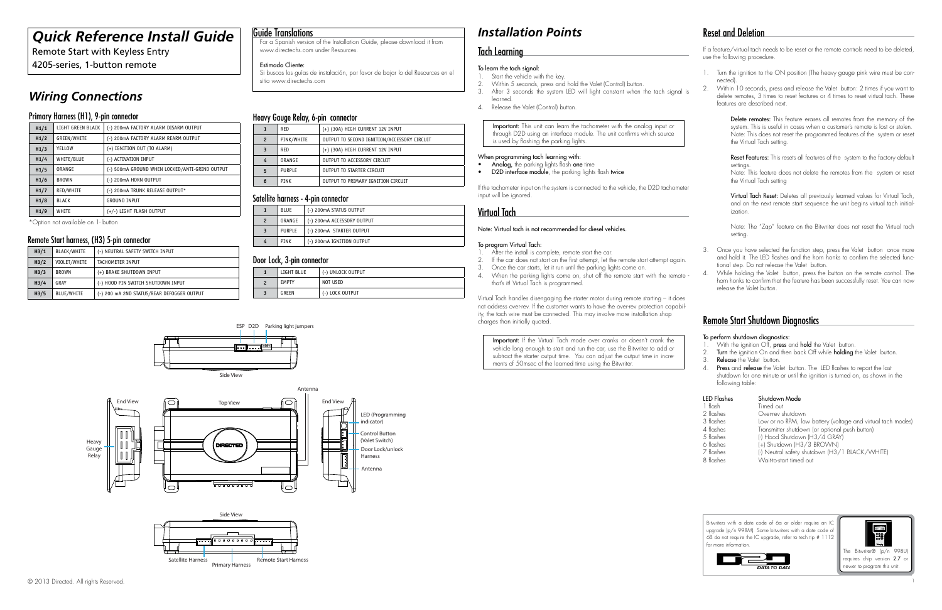# *Quick Reference Install Guide*

Remote Start with Keyless Entry

4205-series, 1-button remote

**Heavy** Gauge Relay







# *Wiring Connections*

## Primary Harness (H1), 9-pin connector

| H1/1 | LIGHT GREEN BLACK  | (-) 200mA FACTORY ALARM DISARM OUTPUT          |  |  |
|------|--------------------|------------------------------------------------|--|--|
| H1/2 | <b>GREEN/WHITE</b> | (-) 200mA FACTORY ALARM REARM OUTPUT           |  |  |
| H1/3 | YELLOW             | (+) IGNITION OUT (TO ALARM)                    |  |  |
| H1/4 | WHITE/BLUE         | (-) ACTIVATION INPUT                           |  |  |
| H1/5 | ORANGE             | (-) 500mA GROUND WHEN LOCKED/ANTI-GRIND OUTPUT |  |  |
| H1/6 | <b>BROWN</b>       | (-) 200mA HORN OUTPUT                          |  |  |
| H1/7 | RED/WHITE          | (-) 200mA TRUNK RELEASE OUTPUT*                |  |  |
| H1/8 | <b>BLACK</b>       | <b>GROUND INPUT</b>                            |  |  |
| H1/9 | WHITE              | (+/-) LIGHT FLASH OUTPUT                       |  |  |
|      |                    |                                                |  |  |

\*Option not available on 1- button

## Remote Start harness, (H<sub>3</sub>) 5-pin connector

## Heavy Gauge Relay, 6-pin connector

- 1. Start the vehicle with the key.<br>2. Within 5 seconds, press and
- 2. Within 5 seconds, press and hold the Valet (Control) button. 3. After 3 seconds the system LED will light constant when the tach signal is learned.
- 4. Release the Valet (Control) button.

Important: This unit can learn the tachometer with the analog input or through D2D using an interface module. The unit confirms which source is used by flashing the parking lights.

| 1              | RED           | (+) (30A) HIGH CURRENT 12V INPUT            |
|----------------|---------------|---------------------------------------------|
| $\overline{2}$ | PINK/WHITE    | OUTPUT TO SECOND IGNITION/ACCESSORY CIRCUIT |
| 3              | RED           | (+) (30A) HIGH CURRENT 12V INPUT            |
| 4              | ORANGE        | OUTPUT TO ACCESSORY CIRCUIT                 |
| 5              | <b>PURPLE</b> | OUTPUT TO STARTER CIRCUIT                   |
| 6              | <b>PINK</b>   | OUTPUT TO PRIMARY IGNITION CIRCUIT          |

## Satellite harness - 4-pin connector

|                | <b>BLUE</b> | (-) 200mA STATUS OUTPUT    |
|----------------|-------------|----------------------------|
| $\overline{2}$ | ORANGE      | (-) 200mA ACCESSORY OUTPUT |
|                | PURPLE      | (-) 200mA STARTER OUTPUT   |
| 4              | PINK        | (-) 200mA IGNITION OUTPUT  |

- After the install is complete, remote start the car.
- 2. If the car does not start on the first attempt, let the remote start attempt again. 3. Once the car starts, let it run until the parking lights come on.
- 
- 4. When the parking lights come on, shut off the remote start with the remote that's it! Virtual Tach is programmed.

| H <sub>3</sub> /1 | BLACK/WHITE  | (-) NEUTRAL SAFETY SWITCH INPUT            |
|-------------------|--------------|--------------------------------------------|
| H <sub>3</sub> /2 | VIOLET/WHITE | TACHOMETER INPUT                           |
| H <sub>3/3</sub>  | BROWN        | (+) BRAKE SHUTDOWN INPUT                   |
| H <sub>3</sub> /4 | GRAY         | (-) HOOD PIN SWITCH SHUTDOWN INPUT         |
| H <sub>3/5</sub>  | BLUE/WHITE   | (-) 200 mA 2ND STATUS/REAR DEFOGGER OUTPUT |



## Tach Learning

### To learn the tach signal:

Reset Features: This resets all features of the system to the factory default settings.

#### When programming tach learning with:

- Analog, the parking lights flash one time
- **D2D interface module**, the parking lights flash twice

Virtual Tach Reset: Deletes all previously learned values for Virtual Tach, and on the next remote start sequence the unit begins virtual tach initialization.

If the tachometer input on the system is connected to the vehicle, the D2D tachometer input will be ignored.

# Virtual Tach

### Note: Virtual tach is not recommended for diesel vehicles.

#### To program Virtual Tach:

- With the ignition Off, press and hold the Valet button.
- 2. Turn the ignition On and then back Off while holding the Valet button.
- Release the Valet button.
- 4. Press and release the Valet button. The LED flashes to report the last shutdown for one minute or until the ignition is turned on, as shown in the following table:

#### LED Flashes Shutdown Mode 1 flash Timed out 2 flashes Over-rev shutdown<br>3 flashes Iow or no RPM. Iov Low or no RPM, low battery (voltage and virtual tach modes) 4 flashes Transmitter shutdown (or optional push button) 5 flashes (-) Hood Shutdown (H3/4 GRAY)<br>6 flashes (-) Shutdown (H3/3 BROWN) 6 flashes (+) Shutdown (H3/3 BROWN)<br>7 flashes (-) Neutral safety shutdown (H3/ 7 flashes (-) Neutral safety shutdown (H3/1 BLACK/WHITE) Wait-to-start timed out

Virtual Tach handles disengaging the starter motor during remote starting – it does not address over-rev. If the customer wants to have the over-rev protection capability, the tach wire must be connected. This may involve more installation shop charges than initially quoted.

Important: If the Virtual Tach mode over cranks or doesn't crank the vehicle long enough to start and run the car, use the Bitwriter to add or subtract the starter output time. You can adjust the output time in increments of 50msec of the learned time using the Bitwriter.

# Reset and Deletion

If a feature/virtual tach needs to be reset or the remote controls need to be deleted, use the following procedure.

- 1. Turn the ignition to the ON position (The heavy gauge pink wire must be connected).
- 2. Within 10 seconds, press and release the Valet button: 2 times if you want to delete remotes, 3 times to reset features or 4 times to reset virtual tach. These features are described next.

Delete remotes: This feature erases all remotes from the memory of the system. This is useful in cases when a customer's remote is lost or stolen. Note: This does not reset the programmed features of the system or reset the Virtual Tach setting.

Note: This feature does not delete the remotes from the system or reset the Virtual Tach setting

Note: The "Zap" feature on the Bitwriter does not reset the Virtual tach setting.

- 3. Once you have selected the function step, press the Valet button once more and hold it. The LED flashes and the horn honks to confirm the selected functional step. Do not release the Valet button.
- 4. While holding the Valet button, press the button on the remote control. The horn honks to confirm that the feature has been successfully reset. You can now release the Valet button.

# Remote Start Shutdown Diagnostics

#### To perform shutdown diagnostics:

## Door Lock, 3-pin connector

|                | LIGHT BLUE   | (-) UNLOCK OUTPUT |
|----------------|--------------|-------------------|
| $\overline{2}$ | <b>EMPTY</b> | NOT USED          |
|                | GREEN        | (-) LOCK OUTPUT   |

## Guide Translations

For a Spanish version of the Installation Guide, please download it from www.directechs.com under Resources.

#### Estimado Cliente:

Si buscas los guías de instalación, por favor de bajar lo del Resources en el sitio www.directechs.com